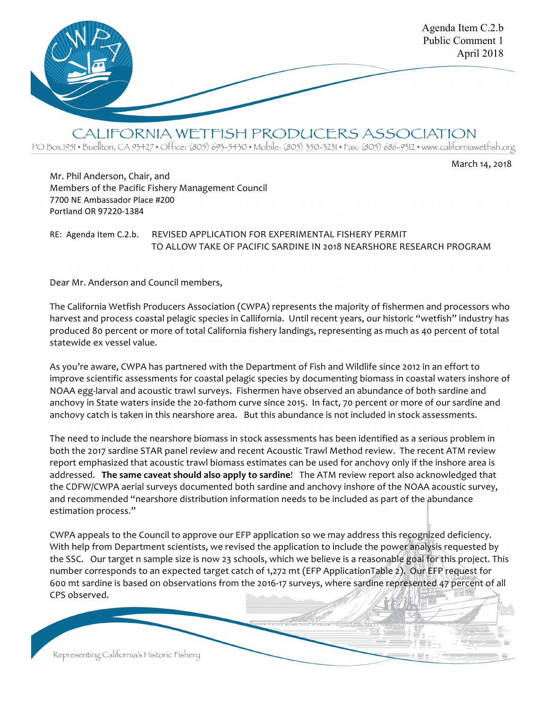

CALIFORNIA WETFISH PRODUCERS ASSOCIATION PO Box 1951 • Buellton, CA 93427 • Office: (805) 693-5430 • Mobile: (805) 350-3231 • Fax: (805) 686-9312 • www.californiawetfish.org

March 14, 2018

Mr. Phil Anderson, Chair, and Members of the Pacific Fishery Management Council 7700 NE Ambassador Place #200 Portland OR 97220-1384

RE: Agenda Item C.2.b. REVISED APPLICATION FOR EXPERIMENTAL FISHERY PERMIT TO ALLOW TAKE OF PACIFIC SARDINE IN 2018 NEARSHORE RESEARCH PROGRAM

Dear Mr. Anderson and Council members,

The California Wetfish Producers Association (CWPA) represents the majority of fishermen and processors who harvest and process coastal pelagic species in Callifornia. Until recent years, our historic "wetfish" industry has produced 80 percent or more of total California fishery landings, representing as much as 40 percent of total statewide ex vessel value.

As you're aware, CWPA has partnered with the Department of Fish and Wildlife since 2012 in an effort to improve scientific assessments for coastal pelagic species by documenting biomass in coastal waters inshore of NOAA egg-larval and acoustic trawl surveys. Fishermen have observed an abundance of both sardine and anchovy in State waters inside the 20-fathom curve since 2015. In fact, 70 percent or more of our sardine and anchovy catch is taken in this nearshore area. But this abundance is not included in stock assessments.

The need to include the nearshore biomass in stock assessments has been identified as a serious problem in both the 2017 sardine STAR panel review and recent Acoustic Trawl Method review. The recent ATM review report emphasized that acoustic trawl biomass estimates can be used for anchovy only if the inshore area is addressed. **The same caveat should also apply to sardine**! The ATM review report also acknowledged that the CDFW/CWPA aerial surveys documented both sardine and anchovy inshore of the NOAA acoustic survey, and recommended "nearshore distribution information needs to be included as part of the abundance estimation process."

CWPA appeals to the Council to approve our EFP application so we may address this recognized deficiency. With help from Department scientists, we revised the application to include the power analysis requested by the SSC. Our target n sample size is now 23 schools, which we believe is a reasonable goal for this project. This number corresponds to an expected target catch of 1,272 mt (EFP ApplicationTable 2). Our EFP request for 600 mt sardine is based on observations from the 2016-17 surveys, where sardine represented 47 percent of all CPS observed.

Representing California's Historic Fishery